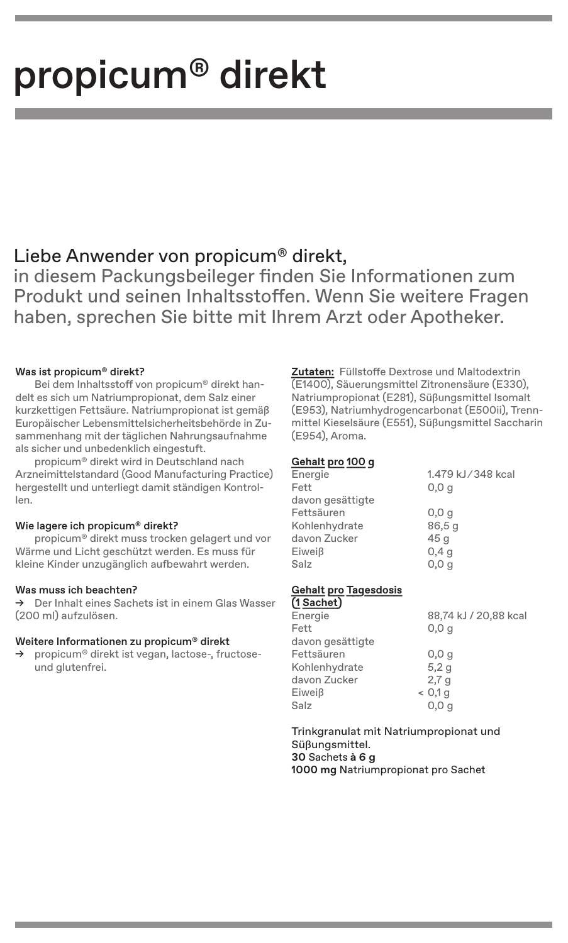# propicum� direkt

## Liebe Anwender von propicum� direkt,

in diesem Packungsbeileger finden Sie Informationen zum Produkt und seinen Inhaltsstoffen. Wenn Sie weitere Fragen haben, sprechen Sie bitte mit Ihrem Arzt oder Apotheker.

### Was ist propicum<sup>®</sup> direkt?

Bei dem Inhaltsstoff von propicum® direkt handelt es sich um Natriumpropionat, dem Salz einer kurzkettigen Fettsäure. Natriumpropionat ist gemäß Europäischer Lebensmittelsicherheitsbehörde in Zusammenhang mit der täglichen Nahrungsaufnahme als sicher und unbedenklich eingestuft.

propicum� direkt wird in Deutschland nach Arzneimittelstandard (Good Manufacturing Practice) hergestellt und unterliegt damit ständigen Kontrollen.

### Wie lagere ich propicum<sup>®</sup> direkt?

propicum� direkt muss trocken gelagert und vor Wärme und Licht geschützt werden. Es muss für kleine Kinder unzugänglich aufbewahrt werden.

### Was muss ich beachten?

→ Der Inhalt eines Sachets ist in einem Glas Wasser (200 ml) aufzulösen.

### Weitere Informationen zu propicum� direkt

→ propicum<sup>®</sup> direkt ist vegan, lactose-, fructoseund glutenfrei.

**Zutaten:** Füllstoffe Dextrose und Maltodextrin (E1400), Säuerungsmittel Zitronensäure (E330), Natriumpropionat (E281), Süßungsmittel Isomalt (E953), Natriumhydrogencarbonat (E500ii), Trennmittel Kieselsäure (E551), Süßungsmittel Saccharin (E954), Aroma.

### **Gehalt pro 100 g**

| Energie          | 1.479 kJ/348 kcal |
|------------------|-------------------|
| Fett             | 0.0 <sub>q</sub>  |
| davon gesättigte |                   |
| Fettsäuren       | 0,0,9             |
| Kohlenhydrate    | 86,5q             |
| davon Zucker     | 45 g              |
| Eiweiß           | 0.4 <sub>q</sub>  |
| Salz             | 0,0,q             |
|                  |                   |

### **Gehalt pro Tagesdosis**

| (1 Sachet)       |                       |
|------------------|-----------------------|
| Energie          | 88,74 kJ / 20,88 kcal |
| Fett             | 0,0,q                 |
| davon gesättigte |                       |
| Fettsäuren       | 0,0,9                 |
| Kohlenhydrate    | 5,2g                  |
| davon Zucker     | 2.7 <sub>q</sub>      |
| Eiweiß           | < 0.1 q               |
| Salz             | 0,0,q                 |
|                  |                       |

Trinkgranulat mit Natriumpropionat und Süßungsmittel. **30** Sachets **à 6 g 1000 mg** Natriumpropionat pro Sachet